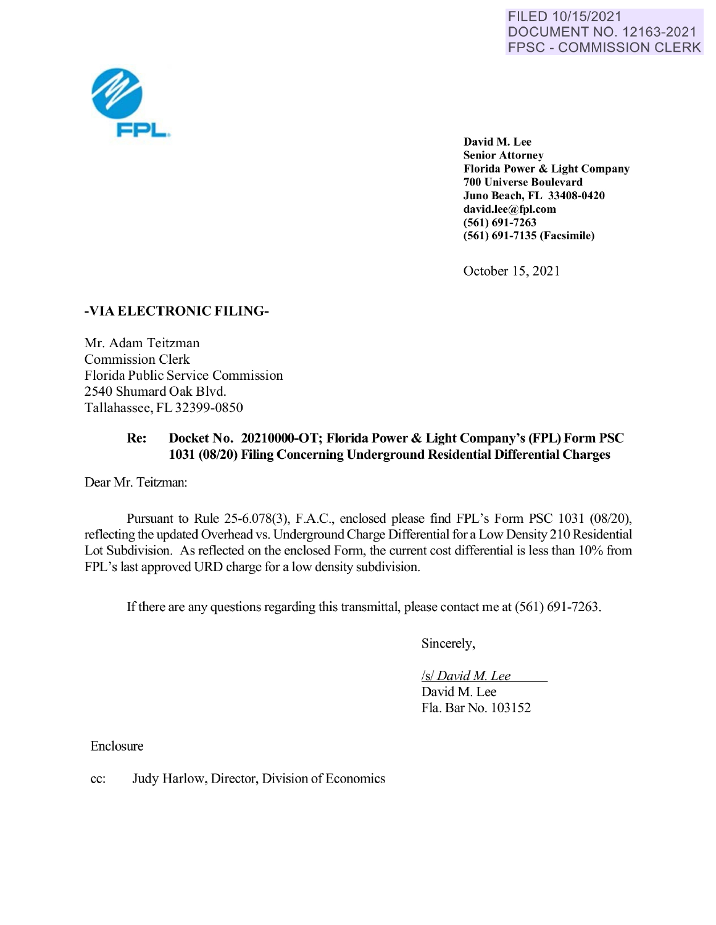

David M. Lee **Senior Attorney Florida Power** & **Light Company 700 Universe Boulevard Juno Beach, FL 33408-0420 david.lee@fpl.com (561) 691-7263 (561) 691-7135 (Facsimile)** 

October 15, 2021

## **-VIA ELECTRONIC FILING-**

Mr. Adam Teitzman Commission Clerk Florida Public Service Commission 2540 Shumard Oak Blvd. Tallahassee, FL 32399-0850

## **Re: Docket No. 20210000-OT; Florida Power** & **Light Company's (FPL) Form PSC 1031 (08/20) Filing Concerning Underground Residential Differential Charges**

Dear Mr. Teitzman:

Pursuant to Rule 25-6.078(3), F.A.C., enclosed please find FPL's Form PSC 1031 (08/20), reflecting the updated Overhead vs. Underground Charge Differential for a Low Density 210 Residential Lot Subdivision. As reflected on the enclosed Form, the current cost differential is less than 10% from FPL's last approved URD charge for a low density subdivision.

Ifthere are any questions regarding this transmittal, please contact me at (561) 691-7263.

Sincerely,

*Isl David M. Lee* David M. Lee Fla. Bar No. 103152

Enclosure

cc: Judy Harlow, Director, Division of Economics